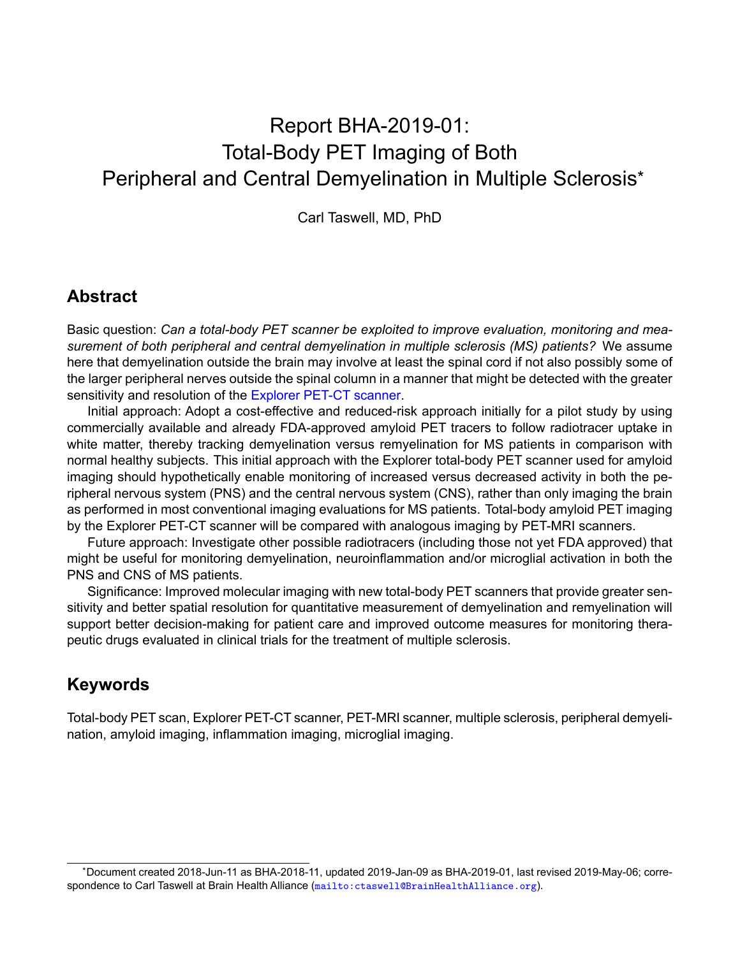# Report BHA-2019-01: Total-Body PET Imaging of Both Peripheral and Central Demyelination in Multiple Sclerosis\*

Carl Taswell, MD, PhD

#### **Abstract**

Basic question: *Can a total-body PET scanner be exploited to improve evaluation, monitoring and measurement of both peripheral and central demyelination in multiple sclerosis (MS) patients?* We assume here that demyelination outside the brain may involve at least the spinal cord if not also possibly some of the larger peripheral nerves outside the spinal column in a manner that might be detected with the greater sensitivity and resolution of the [Explorer PET-CT scanner.](https://explorer.ucdavis.edu/)

Initial approach: Adopt a cost-effective and reduced-risk approach initially for a pilot study by using commercially available and already FDA-approved amyloid PET tracers to follow radiotracer uptake in white matter, thereby tracking demyelination versus remyelination for MS patients in comparison with normal healthy subjects. This initial approach with the Explorer total-body PET scanner used for amyloid imaging should hypothetically enable monitoring of increased versus decreased activity in both the peripheral nervous system (PNS) and the central nervous system (CNS), rather than only imaging the brain as performed in most conventional imaging evaluations for MS patients. Total-body amyloid PET imaging by the Explorer PET-CT scanner will be compared with analogous imaging by PET-MRI scanners.

Future approach: Investigate other possible radiotracers (including those not yet FDA approved) that might be useful for monitoring demyelination, neuroinflammation and/or microglial activation in both the PNS and CNS of MS patients.

Significance: Improved molecular imaging with new total-body PET scanners that provide greater sensitivity and better spatial resolution for quantitative measurement of demyelination and remyelination will support better decision-making for patient care and improved outcome measures for monitoring therapeutic drugs evaluated in clinical trials for the treatment of multiple sclerosis.

#### **Keywords**

Total-body PET scan, Explorer PET-CT scanner, PET-MRI scanner, multiple sclerosis, peripheral demyelination, amyloid imaging, inflammation imaging, microglial imaging.

<sup>\*</sup>Document created 2018-Jun-11 as BHA-2018-11, updated 2019-Jan-09 as BHA-2019-01, last revised 2019-May-06; correspondence to Carl Taswell at Brain Health Alliance (<mailto:ctaswell@BrainHealthAlliance.org>).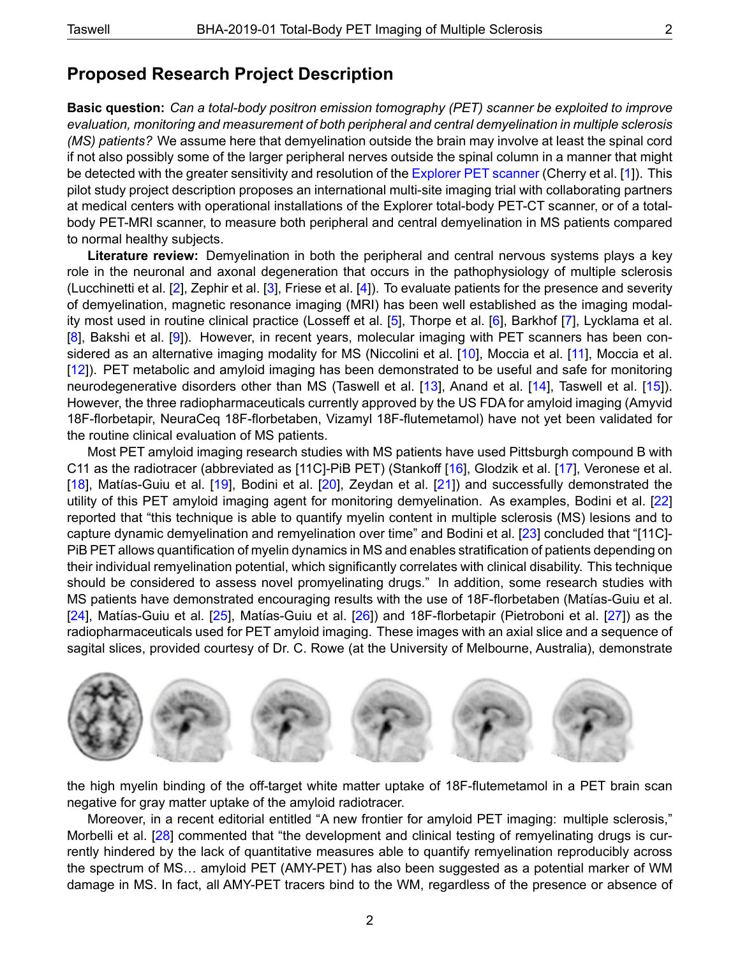### **Proposed Research Project Description**

**Basic question:** *Can a total-body positron emission tomography (PET) scanner be exploited to improve evaluation, monitoring and measurement of both peripheral and central demyelination in multiple sclerosis (MS) patients?* We assume here that demyelination outside the brain may involve at least the spinal cord if not also possibly some of the larger peripheral nerves outside the spinal column in a manner that might be detected with the greater sensitivity and resolution of the [Explorer PET scanner](https://explorer.ucdavis.edu/) (Cherry et al. [\[1\]](#page-3-0)). This pilot study project description proposes an international multi-site imaging trial with collaborating partners at medical centers with operational installations of the Explorer total-body PET-CT scanner, or of a totalbody PET-MRI scanner, to measure both peripheral and central demyelination in MS patients compared to normal healthy subjects.

**Literature review:** Demyelination in both the peripheral and central nervous systems plays a key role in the neuronal and axonal degeneration that occurs in the pathophysiology of multiple sclerosis (Lucchinetti et al. [\[2\]](#page-3-1), Zephir et al. [\[3\]](#page-3-2), Friese et al. [\[4\]](#page-3-3)). To evaluate patients for the presence and severity of demyelination, magnetic resonance imaging (MRI) has been well established as the imaging modality most used in routine clinical practice (Losseff et al. [\[5\]](#page-3-4), Thorpe et al. [\[6\]](#page-3-5), Barkhof [\[7\]](#page-3-6), Lycklama et al. [\[8\]](#page-3-7), Bakshi et al. [\[9\]](#page-3-8)). However, in recent years, molecular imaging with PET scanners has been con-sidered as an alternative imaging modality for MS (Niccolini et al. [\[10\]](#page-3-9), Moccia et al. [\[11\]](#page-3-10), Moccia et al. [\[12\]](#page-3-11)). PET metabolic and amyloid imaging has been demonstrated to be useful and safe for monitoring neurodegenerative disorders other than MS (Taswell et al. [\[13\]](#page-3-12), Anand et al. [\[14\]](#page-3-13), Taswell et al. [\[15\]](#page-3-14)). However, the three radiopharmaceuticals currently approved by the US FDA for amyloid imaging (Amyvid 18F-florbetapir, NeuraCeq 18F-florbetaben, Vizamyl 18F-flutemetamol) have not yet been validated for the routine clinical evaluation of MS patients.

Most PET amyloid imaging research studies with MS patients have used Pittsburgh compound B with C11 as the radiotracer (abbreviated as [11C]-PiB PET) (Stankoff [\[16\]](#page-3-15), Glodzik et al. [\[17\]](#page-3-16), Veronese et al. [\[18\]](#page-3-17), Matías-Guiu et al. [[19\]](#page-4-0), Bodini et al. [\[20\]](#page-4-1), Zeydan et al. [\[21\]](#page-4-2)) and successfully demonstrated the utility of this PET amyloid imaging agent for monitoring demyelination. As examples, Bodini et al. [\[22\]](#page-4-3) reported that "this technique is able to quantify myelin content in multiple sclerosis (MS) lesions and to capture dynamic demyelination and remyelination over time" and Bodini et al. [\[23\]](#page-4-4) concluded that "[11C]- PiB PET allows quantification of myelin dynamics in MS and enables stratification of patients depending on their individual remyelination potential, which significantly correlates with clinical disability. This technique should be considered to assess novel promyelinating drugs." In addition, some research studies with MS patients have demonstrated encouraging results with the use of 18F-florbetaben (Matías-Guiu et al. [\[24\]](#page-4-5), Matías-Guiu et al. [[25\]](#page-4-6), Matías-Guiu et al. [[26\]](#page-4-7)) and 18F-florbetapir (Pietroboni et al. [\[27\]](#page-4-8)) as the radiopharmaceuticals used for PET amyloid imaging. These images with an axial slice and a sequence of sagital slices, provided courtesy of Dr. C. Rowe (at the University of Melbourne, Australia), demonstrate



the high myelin binding of the off-target white matter uptake of 18F-flutemetamol in a PET brain scan negative for gray matter uptake of the amyloid radiotracer.

Moreover, in a recent editorial entitled "A new frontier for amyloid PET imaging: multiple sclerosis," Morbelli et al. [\[28\]](#page-4-9) commented that "the development and clinical testing of remyelinating drugs is currently hindered by the lack of quantitative measures able to quantify remyelination reproducibly across the spectrum of MS… amyloid PET (AMY-PET) has also been suggested as a potential marker of WM damage in MS. In fact, all AMY-PET tracers bind to the WM, regardless of the presence or absence of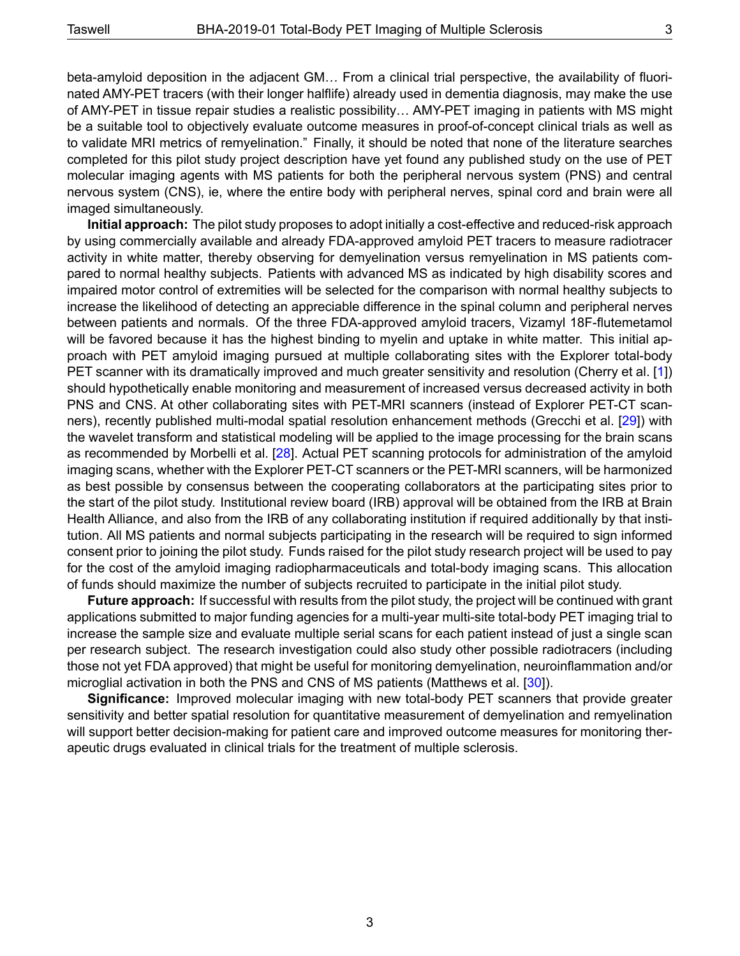beta-amyloid deposition in the adjacent GM… From a clinical trial perspective, the availability of fluorinated AMY-PET tracers (with their longer halflife) already used in dementia diagnosis, may make the use of AMY-PET in tissue repair studies a realistic possibility… AMY-PET imaging in patients with MS might be a suitable tool to objectively evaluate outcome measures in proof-of-concept clinical trials as well as to validate MRI metrics of remyelination." Finally, it should be noted that none of the literature searches completed for this pilot study project description have yet found any published study on the use of PET molecular imaging agents with MS patients for both the peripheral nervous system (PNS) and central nervous system (CNS), ie, where the entire body with peripheral nerves, spinal cord and brain were all imaged simultaneously.

**Initial approach:** The pilot study proposes to adopt initially a cost-effective and reduced-risk approach by using commercially available and already FDA-approved amyloid PET tracers to measure radiotracer activity in white matter, thereby observing for demyelination versus remyelination in MS patients compared to normal healthy subjects. Patients with advanced MS as indicated by high disability scores and impaired motor control of extremities will be selected for the comparison with normal healthy subjects to increase the likelihood of detecting an appreciable difference in the spinal column and peripheral nerves between patients and normals. Of the three FDA-approved amyloid tracers, Vizamyl 18F-flutemetamol will be favored because it has the highest binding to myelin and uptake in white matter. This initial approach with PET amyloid imaging pursued at multiple collaborating sites with the Explorer total-body PET scanner with its dramatically improved and much greater sensitivity and resolution (Cherry et al. [\[1\]](#page-3-0)) should hypothetically enable monitoring and measurement of increased versus decreased activity in both PNS and CNS. At other collaborating sites with PET-MRI scanners (instead of Explorer PET-CT scanners), recently published multi-modal spatial resolution enhancement methods (Grecchi et al. [\[29\]](#page-4-10)) with the wavelet transform and statistical modeling will be applied to the image processing for the brain scans as recommended by Morbelli et al. [\[28\]](#page-4-9). Actual PET scanning protocols for administration of the amyloid imaging scans, whether with the Explorer PET-CT scanners or the PET-MRI scanners, will be harmonized as best possible by consensus between the cooperating collaborators at the participating sites prior to the start of the pilot study. Institutional review board (IRB) approval will be obtained from the IRB at Brain Health Alliance, and also from the IRB of any collaborating institution if required additionally by that institution. All MS patients and normal subjects participating in the research will be required to sign informed consent prior to joining the pilot study. Funds raised for the pilot study research project will be used to pay for the cost of the amyloid imaging radiopharmaceuticals and total-body imaging scans. This allocation of funds should maximize the number of subjects recruited to participate in the initial pilot study.

**Future approach:** If successful with results from the pilot study, the project will be continued with grant applications submitted to major funding agencies for a multi-year multi-site total-body PET imaging trial to increase the sample size and evaluate multiple serial scans for each patient instead of just a single scan per research subject. The research investigation could also study other possible radiotracers (including those not yet FDA approved) that might be useful for monitoring demyelination, neuroinflammation and/or microglial activation in both the PNS and CNS of MS patients (Matthews et al. [\[30\]](#page-4-11)).

**Significance:** Improved molecular imaging with new total-body PET scanners that provide greater sensitivity and better spatial resolution for quantitative measurement of demyelination and remyelination will support better decision-making for patient care and improved outcome measures for monitoring therapeutic drugs evaluated in clinical trials for the treatment of multiple sclerosis.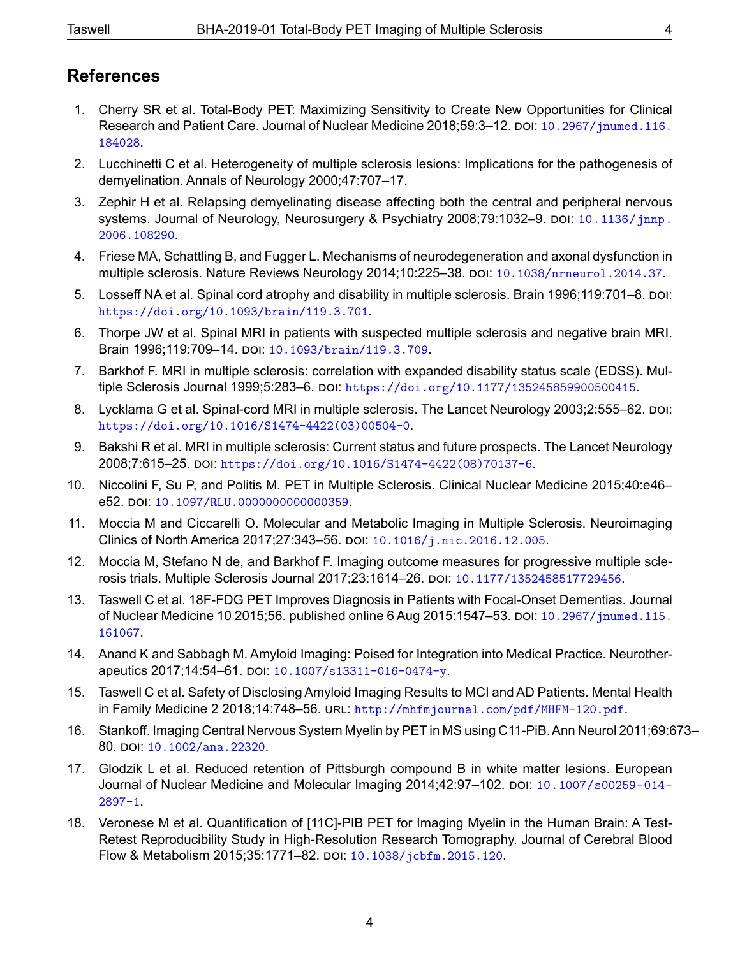## **References**

- <span id="page-3-0"></span>1. Cherry SR et al. Total-Body PET: Maximizing Sensitivity to Create New Opportunities for Clinical Research and Patient Care. Journal of Nuclear Medicine 2018;59:3-12. DOI: [10.2967/jnumed.116.](https://doi.org/10.2967/jnumed.116.184028) [184028](https://doi.org/10.2967/jnumed.116.184028).
- <span id="page-3-1"></span>2. Lucchinetti C et al. Heterogeneity of multiple sclerosis lesions: Implications for the pathogenesis of demyelination. Annals of Neurology 2000;47:707–17.
- <span id="page-3-2"></span>3. Zephir H et al. Relapsing demyelinating disease affecting both the central and peripheral nervous systems. Journal of Neurology, Neurosurgery & Psychiatry 2008;79:1032-9. DOI: [10.1136/jnnp.](https://doi.org/10.1136/jnnp.2006.108290) [2006.108290](https://doi.org/10.1136/jnnp.2006.108290).
- <span id="page-3-3"></span>4. Friese MA, Schattling B, and Fugger L. Mechanisms of neurodegeneration and axonal dysfunction in multiple sclerosis. Nature Reviews Neurology 2014;10:225–38. doı: [10.1038/nrneurol.2014.37](https://doi.org/10.1038/nrneurol.2014.37).
- <span id="page-3-4"></span>5. Losseff NA et al. Spinal cord atrophy and disability in multiple sclerosis. Brain 1996;119:701–8. doi: [https://doi.org/10.1093/brain/119.3.701](https://doi.org/https://doi.org/10.1093/brain/119.3.701).
- <span id="page-3-5"></span>6. Thorpe JW et al. Spinal MRI in patients with suspected multiple sclerosis and negative brain MRI. Brain 1996;119:709-14. DOI: [10.1093/brain/119.3.709](https://doi.org/10.1093/brain/119.3.709).
- <span id="page-3-6"></span>7. Barkhof F. MRI in multiple sclerosis: correlation with expanded disability status scale (EDSS). Multiple Sclerosis Journal 1999;5:283-6. DOI: [https://doi.org/10.1177/135245859900500415](https://doi.org/https://doi.org/10.1177/135245859900500415).
- <span id="page-3-7"></span>8. Lycklama G et al. Spinal-cord MRI in multiple sclerosis. The Lancet Neurology 2003;2:555–62. DOI: [https://doi.org/10.1016/S1474-4422\(03\)00504-0](https://doi.org/https://doi.org/10.1016/S1474-4422(03)00504-0).
- <span id="page-3-8"></span>9. Bakshi R et al. MRI in multiple sclerosis: Current status and future prospects. The Lancet Neurology 2008;7:615–25. doı: [https://doi.org/10.1016/S1474-4422\(08\)70137-6](https://doi.org/https://doi.org/10.1016/S1474-4422(08)70137-6).
- <span id="page-3-9"></span>10. Niccolini F, Su P, and Politis M. PET in Multiple Sclerosis. Clinical Nuclear Medicine 2015;40:e46– e52. doı: [10.1097/RLU.0000000000000359](https://doi.org/10.1097/RLU.0000000000000359).
- <span id="page-3-10"></span>11. Moccia M and Ciccarelli O. Molecular and Metabolic Imaging in Multiple Sclerosis. Neuroimaging Clinics of North America 2017;27:343–56. doı: [10.1016/j.nic.2016.12.005](https://doi.org/10.1016/j.nic.2016.12.005).
- <span id="page-3-11"></span>12. Moccia M, Stefano N de, and Barkhof F. Imaging outcome measures for progressive multiple sclerosis trials. Multiple Sclerosis Journal 2017;23:1614–26. doı: [10.1177/1352458517729456](https://doi.org/10.1177/1352458517729456).
- <span id="page-3-12"></span>13. Taswell C et al. 18F-FDG PET Improves Diagnosis in Patients with Focal-Onset Dementias. Journal of Nuclear Medicine 10 2015;56. published online 6 Aug 2015:1547-53. DOI: [10.2967/jnumed.115.](https://doi.org/10.2967/jnumed.115.161067) [161067](https://doi.org/10.2967/jnumed.115.161067).
- <span id="page-3-13"></span>14. Anand K and Sabbagh M. Amyloid Imaging: Poised for Integration into Medical Practice. Neurother-apeutics 2017;14:54-61. DOI: [10.1007/s13311-016-0474-y](https://doi.org/10.1007/s13311-016-0474-y).
- <span id="page-3-14"></span>15. Taswell C et al. Safety of Disclosing Amyloid Imaging Results to MCI and AD Patients. Mental Health in Family Medicine 2 2018;14:748–56. URL: <http://mhfmjournal.com/pdf/MHFM-120.pdf>.
- <span id="page-3-15"></span>16. Stankoff. Imaging Central Nervous System Myelin by PET in MS using C11-PiB.Ann Neurol 2011;69:673– 80. doı: [10.1002/ana.22320](https://doi.org/10.1002/ana.22320).
- <span id="page-3-16"></span>17. Glodzik L et al. Reduced retention of Pittsburgh compound B in white matter lesions. European Journal of Nuclear Medicine and Molecular Imaging 2014;42:97-102. DOI: [10.1007/s00259-014-](https://doi.org/10.1007/s00259-014-2897-1) [2897-1](https://doi.org/10.1007/s00259-014-2897-1).
- <span id="page-3-17"></span>18. Veronese M et al. Quantification of [11C]-PIB PET for Imaging Myelin in the Human Brain: A Test-Retest Reproducibility Study in High-Resolution Research Tomography. Journal of Cerebral Blood Flow & Metabolism 2015;35:1771-82. DOI: [10.1038/jcbfm.2015.120](https://doi.org/10.1038/jcbfm.2015.120).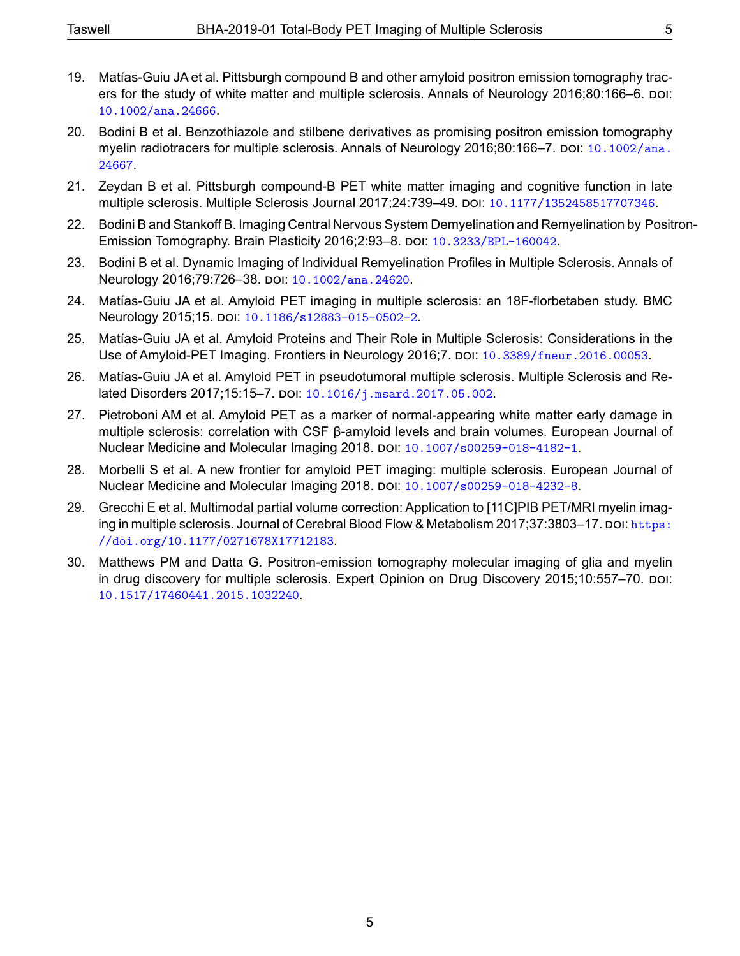- <span id="page-4-0"></span>19. Matías-Guiu JA et al. Pittsburgh compound B and other amyloid positron emission tomography tracers for the study of white matter and multiple sclerosis. Annals of Neurology 2016;80:166–6. doı: [10.1002/ana.24666](https://doi.org/10.1002/ana.24666).
- <span id="page-4-1"></span>20. Bodini B et al. Benzothiazole and stilbene derivatives as promising positron emission tomography myelin radiotracers for multiple sclerosis. Annals of Neurology 2016;80:166–7. poi:  $10.1002/ana$ . [24667](https://doi.org/10.1002/ana.24667).
- <span id="page-4-2"></span>21. Zeydan B et al. Pittsburgh compound-B PET white matter imaging and cognitive function in late multiple sclerosis. Multiple Sclerosis Journal 2017;24:739-49. DOI: [10.1177/1352458517707346](https://doi.org/10.1177/1352458517707346).
- <span id="page-4-3"></span>22. Bodini B and Stankoff B. Imaging Central Nervous System Demyelination and Remyelination by Positron-Emission Tomography. Brain Plasticity 2016;2:93-8. DOI: [10.3233/BPL-160042](https://doi.org/10.3233/BPL-160042).
- <span id="page-4-4"></span>23. Bodini B et al. Dynamic Imaging of Individual Remyelination Profiles in Multiple Sclerosis. Annals of Neurology 2016;79:726-38. DOI: [10.1002/ana.24620](https://doi.org/10.1002/ana.24620).
- <span id="page-4-5"></span>24. Matías-Guiu JA et al. Amyloid PET imaging in multiple sclerosis: an 18F-florbetaben study. BMC Neurology 2015;15. doı: [10.1186/s12883-015-0502-2](https://doi.org/10.1186/s12883-015-0502-2).
- <span id="page-4-6"></span>25. Matías-Guiu JA et al. Amyloid Proteins and Their Role in Multiple Sclerosis: Considerations in the Use of Amyloid-PET Imaging. Frontiers in Neurology 2016;7. doı: [10.3389/fneur.2016.00053](https://doi.org/10.3389/fneur.2016.00053).
- <span id="page-4-7"></span>26. Matías-Guiu JA et al. Amyloid PET in pseudotumoral multiple sclerosis. Multiple Sclerosis and Related Disorders 2017;15:15–7. doı: [10.1016/j.msard.2017.05.002](https://doi.org/10.1016/j.msard.2017.05.002).
- <span id="page-4-8"></span>27. Pietroboni AM et al. Amyloid PET as a marker of normal-appearing white matter early damage in multiple sclerosis: correlation with CSF β-amyloid levels and brain volumes. European Journal of Nuclear Medicine and Molecular Imaging 2018. Doi: [10.1007/s00259-018-4182-1](https://doi.org/10.1007/s00259-018-4182-1).
- <span id="page-4-9"></span>28. Morbelli S et al. A new frontier for amyloid PET imaging: multiple sclerosis. European Journal of Nuclear Medicine and Molecular Imaging 2018. Doi: [10.1007/s00259-018-4232-8](https://doi.org/10.1007/s00259-018-4232-8).
- <span id="page-4-10"></span>29. Grecchi E et al. Multimodal partial volume correction: Application to [11C]PIB PET/MRI myelin imaging in multiple sclerosis. Journal of Cerebral Blood Flow & Metabolism 2017;37:3803-17. DOI: [https:](https://doi.org/https://doi.org/10.1177/0271678X17712183) [//doi.org/10.1177/0271678X17712183](https://doi.org/https://doi.org/10.1177/0271678X17712183).
- <span id="page-4-11"></span>30. Matthews PM and Datta G. Positron-emission tomography molecular imaging of glia and myelin in drug discovery for multiple sclerosis. Expert Opinion on Drug Discovery 2015;10:557–70. poi: [10.1517/17460441.2015.1032240](https://doi.org/10.1517/17460441.2015.1032240).